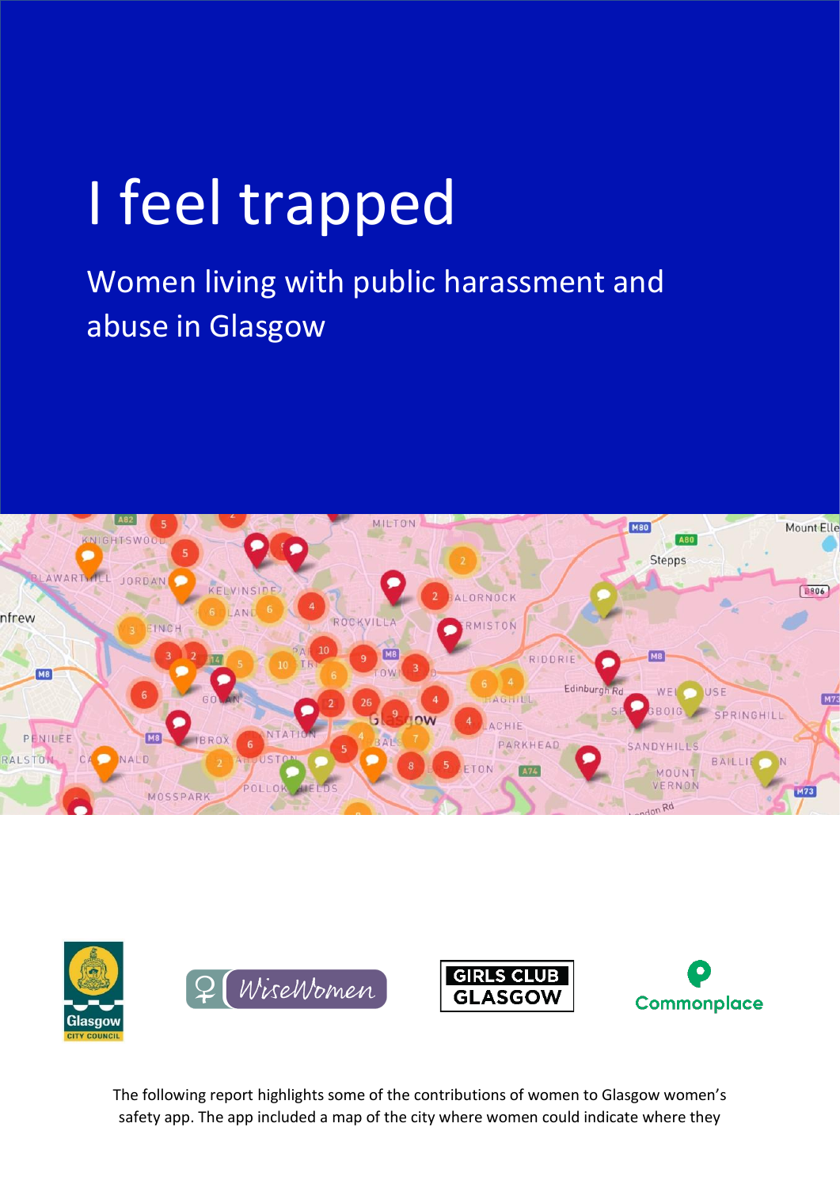# I feel trapped

Women living with public harassment and abuse in Glasgow





The following report highlights some of the contributions of women to Glasgow women's safety app. The app included a map of the city where women could indicate where they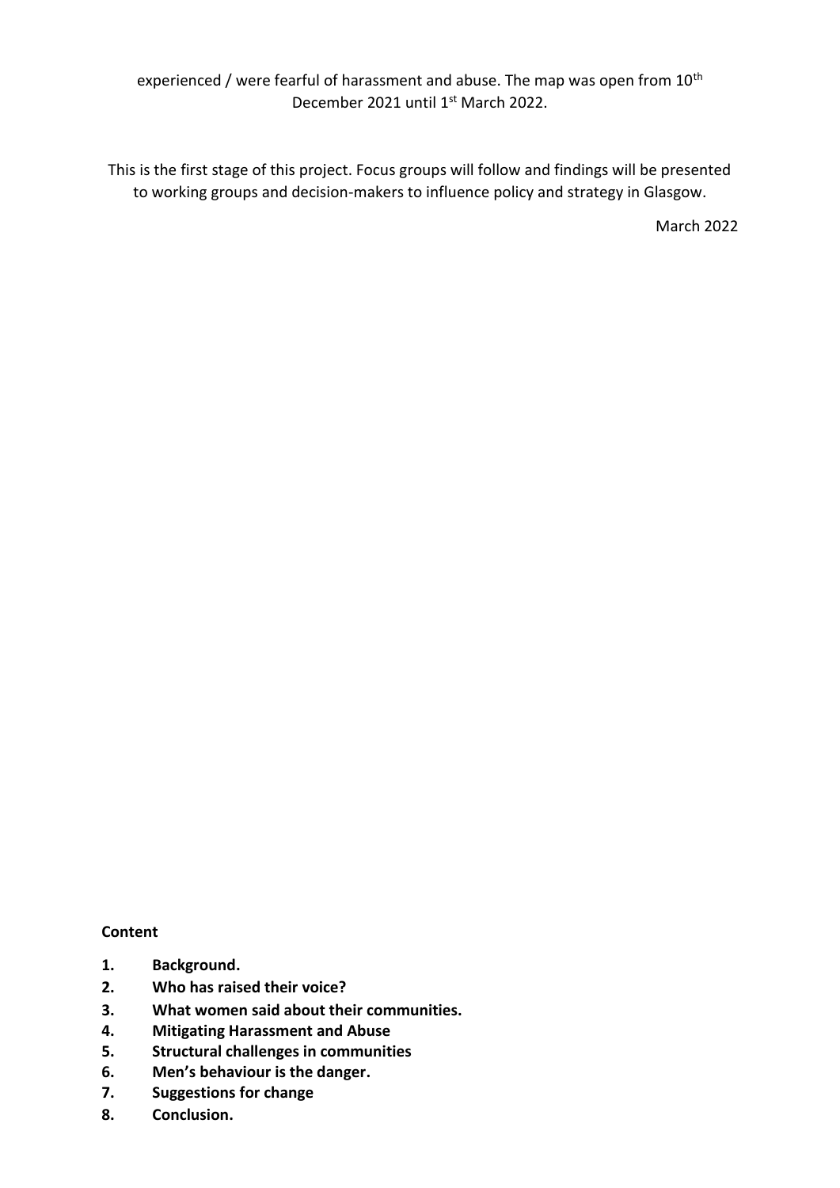experienced / were fearful of harassment and abuse. The map was open from 10<sup>th</sup> December 2021 until 1st March 2022.

This is the first stage of this project. Focus groups will follow and findings will be presented to working groups and decision-makers to influence policy and strategy in Glasgow.

March 2022

## **Content**

- **1. Background.**
- **2. Who has raised their voice?**
- **3. What women said about their communities.**
- **4. Mitigating Harassment and Abuse**
- **5. Structural challenges in communities**
- **6. Men's behaviour is the danger.**
- **7. Suggestions for change**
- **8. Conclusion.**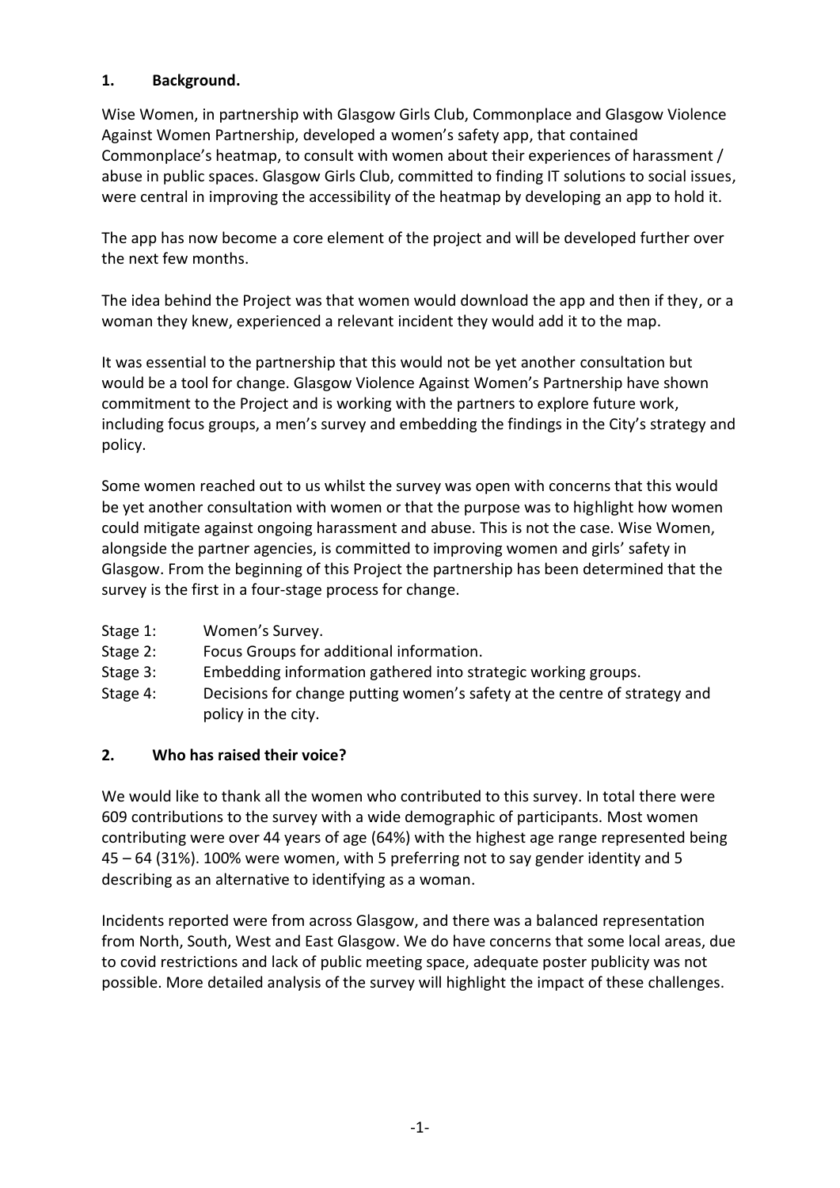## **1. Background.**

Wise Women, in partnership with Glasgow Girls Club, Commonplace and Glasgow Violence Against Women Partnership, developed a women's safety app, that contained Commonplace's heatmap, to consult with women about their experiences of harassment / abuse in public spaces. Glasgow Girls Club, committed to finding IT solutions to social issues, were central in improving the accessibility of the heatmap by developing an app to hold it.

The app has now become a core element of the project and will be developed further over the next few months.

The idea behind the Project was that women would download the app and then if they, or a woman they knew, experienced a relevant incident they would add it to the map.

It was essential to the partnership that this would not be yet another consultation but would be a tool for change. Glasgow Violence Against Women's Partnership have shown commitment to the Project and is working with the partners to explore future work, including focus groups, a men's survey and embedding the findings in the City's strategy and policy.

Some women reached out to us whilst the survey was open with concerns that this would be yet another consultation with women or that the purpose was to highlight how women could mitigate against ongoing harassment and abuse. This is not the case. Wise Women, alongside the partner agencies, is committed to improving women and girls' safety in Glasgow. From the beginning of this Project the partnership has been determined that the survey is the first in a four-stage process for change.

- Stage 1: Women's Survey.
- Stage 2: Focus Groups for additional information.
- Stage 3: Embedding information gathered into strategic working groups.
- Stage 4: Decisions for change putting women's safety at the centre of strategy and policy in the city.

## **2. Who has raised their voice?**

We would like to thank all the women who contributed to this survey. In total there were 609 contributions to the survey with a wide demographic of participants. Most women contributing were over 44 years of age (64%) with the highest age range represented being 45 – 64 (31%). 100% were women, with 5 preferring not to say gender identity and 5 describing as an alternative to identifying as a woman.

Incidents reported were from across Glasgow, and there was a balanced representation from North, South, West and East Glasgow. We do have concerns that some local areas, due to covid restrictions and lack of public meeting space, adequate poster publicity was not possible. More detailed analysis of the survey will highlight the impact of these challenges.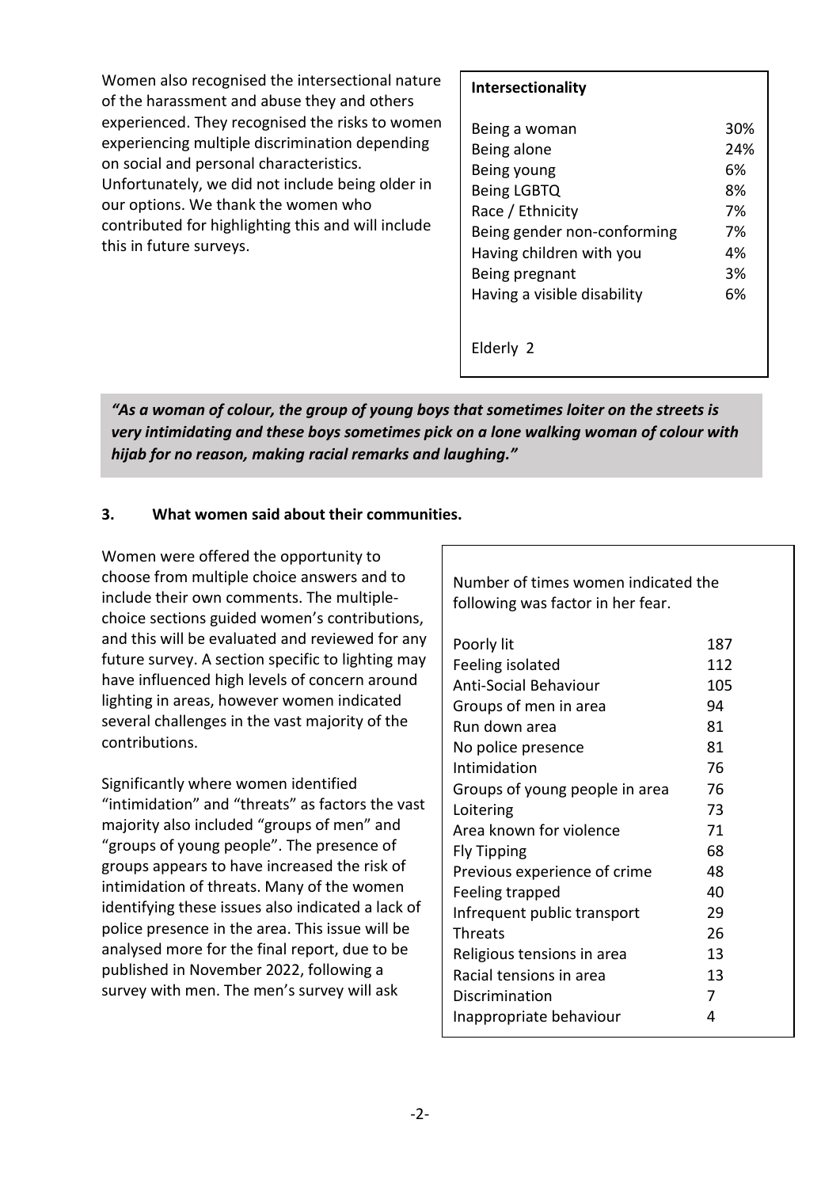Women also recognised the intersectional nature of the harassment and abuse they and others experienced. They recognised the risks to women experiencing multiple discrimination depending on social and personal characteristics. Unfortunately, we did not include being older in our options. We thank the women who contributed for highlighting this and will include this in future surveys.

### **Intersectionality**

| Being a woman               | <b>30%</b> |
|-----------------------------|------------|
| Being alone                 | 24%        |
| Being young                 | 6%         |
| Being LGBTQ                 | 8%         |
| Race / Ethnicity            | 7%         |
| Being gender non-conforming | 7%         |
| Having children with you    | 4%         |
| Being pregnant              | 3%         |
| Having a visible disability | 6%         |
|                             |            |
|                             |            |
| Elderly 2                   |            |

*"As a woman of colour, the group of young boys that sometimes loiter on the streets is very intimidating and these boys sometimes pick on a lone walking woman of colour with hijab for no reason, making racial remarks and laughing."*

## **3. What women said about their communities.**

Women were offered the opportunity to choose from multiple choice answers and to include their own comments. The multiplechoice sections guided women's contributions, and this will be evaluated and reviewed for any future survey. A section specific to lighting may have influenced high levels of concern around lighting in areas, however women indicated several challenges in the vast majority of the contributions.

Significantly where women identified "intimidation" and "threats" as factors the vast majority also included "groups of men" and "groups of young people". The presence of groups appears to have increased the risk of intimidation of threats. Many of the women identifying these issues also indicated a lack of police presence in the area. This issue will be analysed more for the final report, due to be published in November 2022, following a survey with men. The men's survey will ask

Number of times women indicated the following was factor in her fear. Poorly lit 187 Feeling isolated 112 Anti-Social Behaviour 105 Groups of men in area 94 Run down area 61 No police presence 81 Intimidation 76 Groups of young people in area 76 Loitering 73 Area known for violence 71 Fly Tipping 68 Previous experience of crime 48 Feeling trapped 40 Infrequent public transport 29 Threats 26 Religious tensions in area 13 Racial tensions in area 13 Discrimination 7 Inappropriate behaviour 4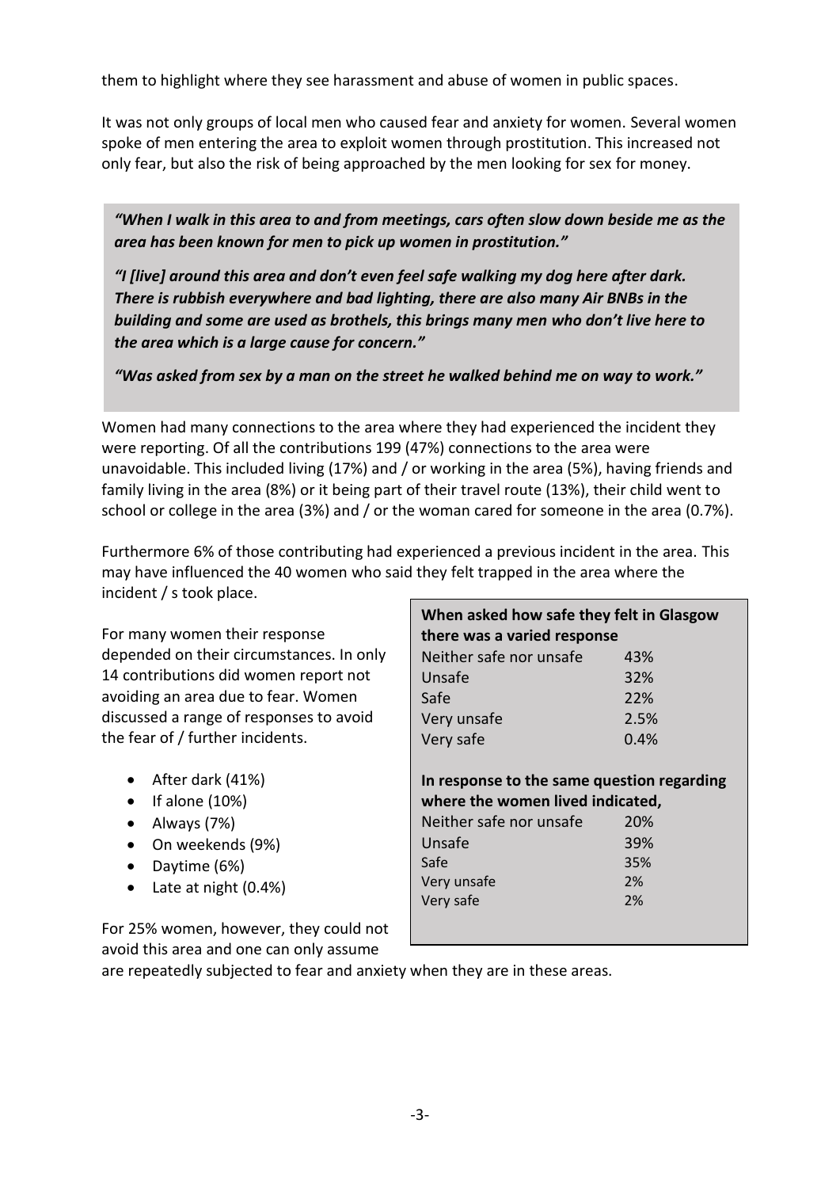them to highlight where they see harassment and abuse of women in public spaces.

It was not only groups of local men who caused fear and anxiety for women. Several women spoke of men entering the area to exploit women through prostitution. This increased not only fear, but also the risk of being approached by the men looking for sex for money.

*"When I walk in this area to and from meetings, cars often slow down beside me as the area has been known for men to pick up women in prostitution."*

*"I [live] around this area and don't even feel safe walking my dog here after dark. There is rubbish everywhere and bad lighting, there are also many Air BNBs in the building and some are used as brothels, this brings many men who don't live here to the area which is a large cause for concern."*

*"Was asked from sex by a man on the street he walked behind me on way to work."*

Women had many connections to the area where they had experienced the incident they were reporting. Of all the contributions 199 (47%) connections to the area were unavoidable. This included living (17%) and / or working in the area (5%), having friends and family living in the area (8%) or it being part of their travel route (13%), their child went to school or college in the area (3%) and / or the woman cared for someone in the area (0.7%).

Furthermore 6% of those contributing had experienced a previous incident in the area. This may have influenced the 40 women who said they felt trapped in the area where the incident / s took place.

For many women their response depended on their circumstances. In only 14 contributions did women report not avoiding an area due to fear. Women discussed a range of responses to avoid the fear of / further incidents.

- After dark (41%)
- $\bullet$  If alone (10%)
- Always (7%)
- On weekends (9%)
- Daytime (6%)
- Late at night (0.4%)

**In response to the same question regarding where the women lived indicated,** Neither safe nor unsafe 20% Unsafe 39% Safe 35% Very unsafe 2% Very safe 2%

**When asked how safe they felt in Glasgow** 

**there was a varied response** Neither safe nor unsafe 43% Unsafe 32% Safe 22% Very unsafe 2.5% Very safe 0.4%

For 25% women, however, they could not avoid this area and one can only assume

are repeatedly subjected to fear and anxiety when they are in these areas.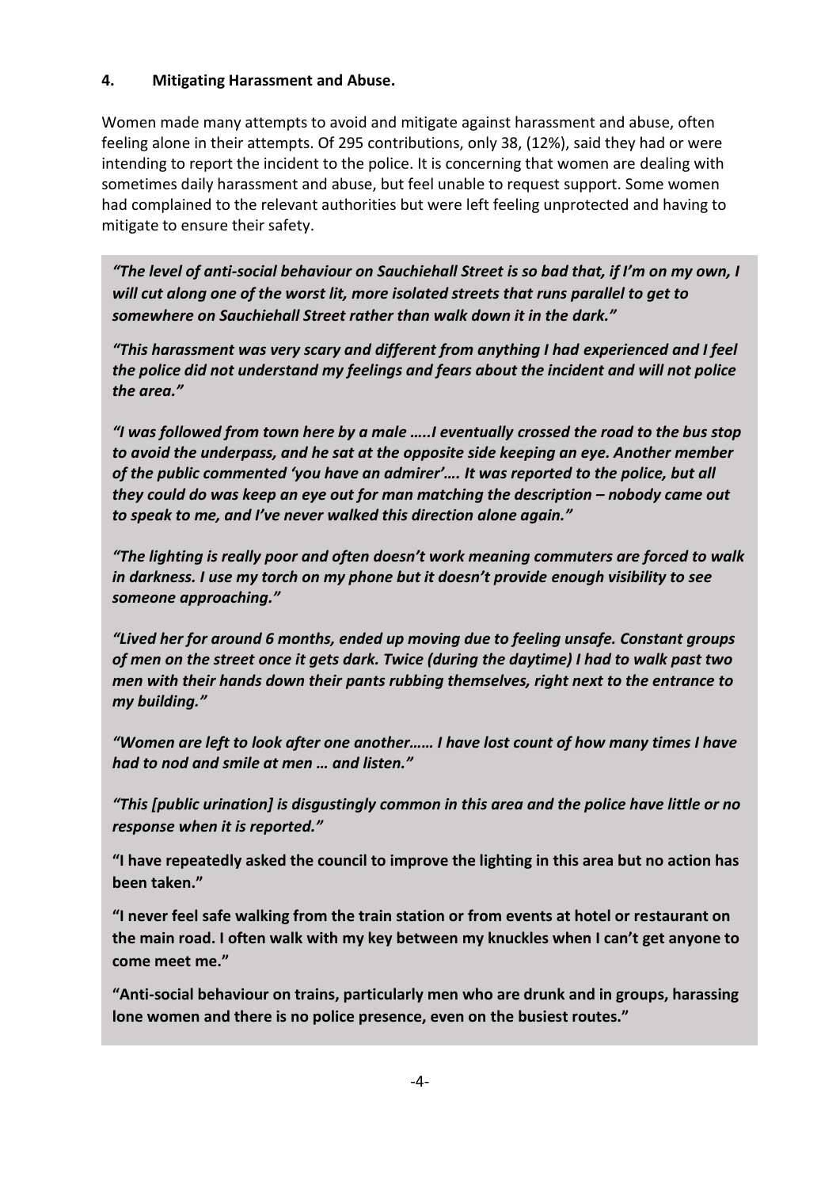## **4. Mitigating Harassment and Abuse.**

Women made many attempts to avoid and mitigate against harassment and abuse, often feeling alone in their attempts. Of 295 contributions, only 38, (12%), said they had or were intending to report the incident to the police. It is concerning that women are dealing with sometimes daily harassment and abuse, but feel unable to request support. Some women had complained to the relevant authorities but were left feeling unprotected and having to mitigate to ensure their safety.

*"The level of anti-social behaviour on Sauchiehall Street is so bad that, if I'm on my own, I will cut along one of the worst lit, more isolated streets that runs parallel to get to somewhere on Sauchiehall Street rather than walk down it in the dark."*

*"This harassment was very scary and different from anything I had experienced and I feel the police did not understand my feelings and fears about the incident and will not police the area."*

*"I was followed from town here by a male …..I eventually crossed the road to the bus stop to avoid the underpass, and he sat at the opposite side keeping an eye. Another member of the public commented 'you have an admirer'…. It was reported to the police, but all they could do was keep an eye out for man matching the description – nobody came out to speak to me, and I've never walked this direction alone again."*

*"The lighting is really poor and often doesn't work meaning commuters are forced to walk in darkness. I use my torch on my phone but it doesn't provide enough visibility to see someone approaching."*

*"Lived her for around 6 months, ended up moving due to feeling unsafe. Constant groups of men on the street once it gets dark. Twice (during the daytime) I had to walk past two men with their hands down their pants rubbing themselves, right next to the entrance to my building."*

*"Women are left to look after one another…… I have lost count of how many times I have had to nod and smile at men … and listen."*

*"This [public urination] is disgustingly common in this area and the police have little or no response when it is reported."*

**"I have repeatedly asked the council to improve the lighting in this area but no action has been taken."**

**"I never feel safe walking from the train station or from events at hotel or restaurant on the main road. I often walk with my key between my knuckles when I can't get anyone to come meet me."**

**"Anti-social behaviour on trains, particularly men who are drunk and in groups, harassing lone women and there is no police presence, even on the busiest routes."**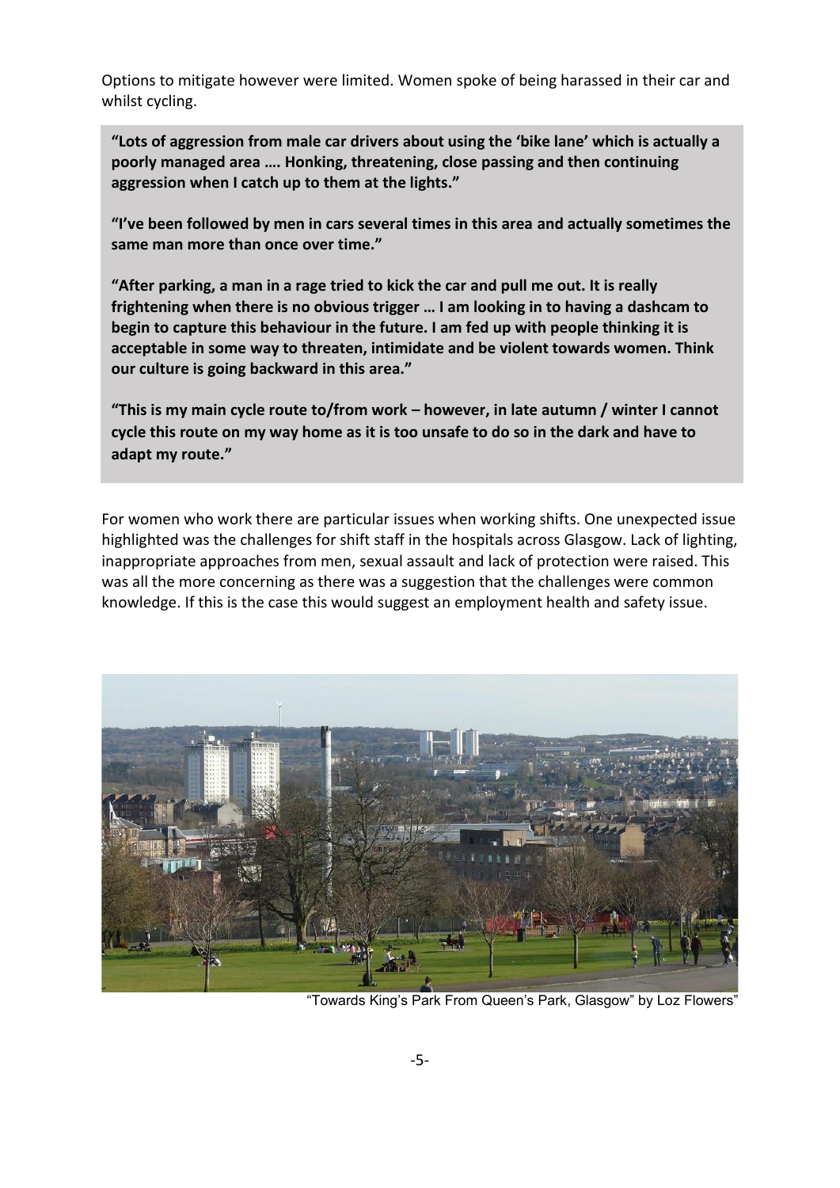Options to mitigate however were limited. Women spoke of being harassed in their car and whilst cycling.

**"Lots of aggression from male car drivers about using the 'bike lane' which is actually a poorly managed area …. Honking, threatening, close passing and then continuing aggression when I catch up to them at the lights."**

**"I've been followed by men in cars several times in this area and actually sometimes the same man more than once over time."**

**"After parking, a man in a rage tried to kick the car and pull me out. It is really frightening when there is no obvious trigger … I am looking in to having a dashcam to begin to capture this behaviour in the future. I am fed up with people thinking it is acceptable in some way to threaten, intimidate and be violent towards women. Think our culture is going backward in this area."**

**"This is my main cycle route to/from work – however, in late autumn / winter I cannot cycle this route on my way home as it is too unsafe to do so in the dark and have to adapt my route."**

For women who work there are particular issues when working shifts. One unexpected issue highlighted was the challenges for shift staff in the hospitals across Glasgow. Lack of lighting, inappropriate approaches from men, sexual assault and lack of protection were raised. This was all the more concerning as there was a suggestion that the challenges were common knowledge. If this is the case this would suggest an employment health and safety issue.



"Towards King's Park From Queen's Park, Glasgow" by Loz Flowers"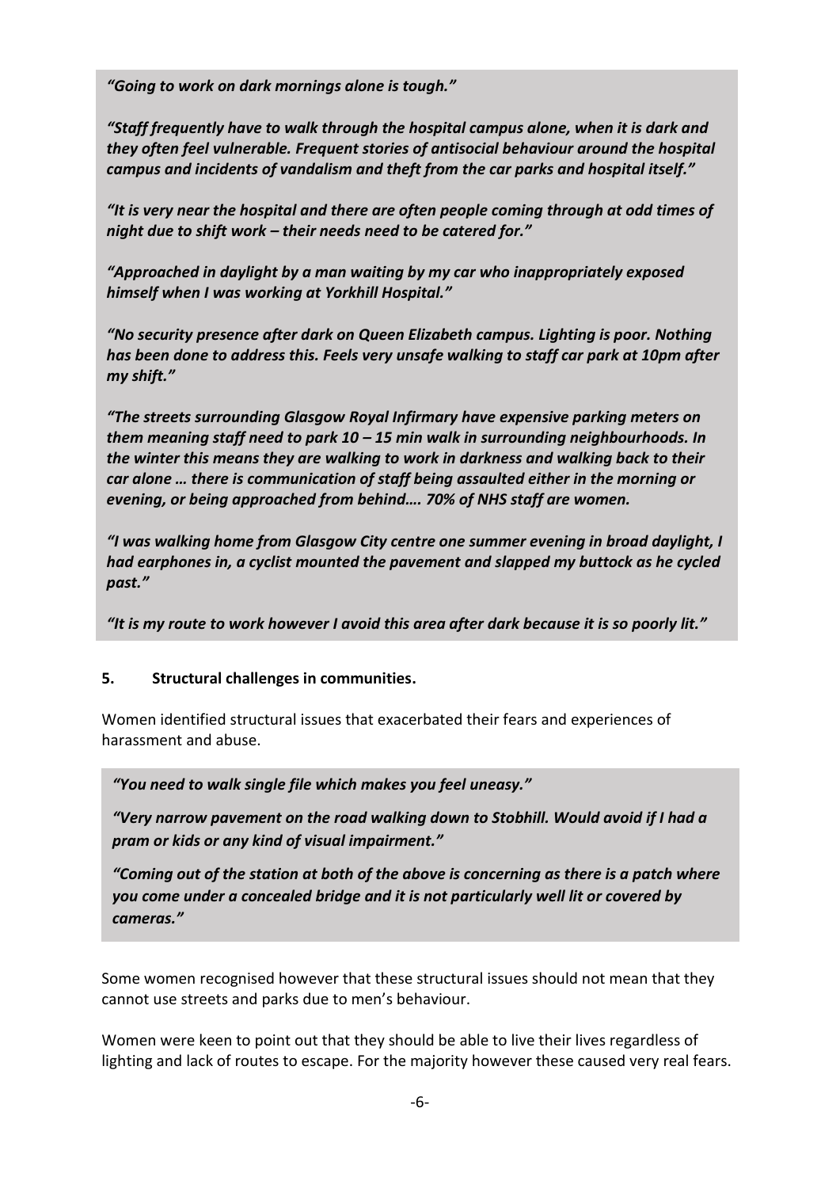*"Going to work on dark mornings alone is tough."*

*"Staff frequently have to walk through the hospital campus alone, when it is dark and they often feel vulnerable. Frequent stories of antisocial behaviour around the hospital campus and incidents of vandalism and theft from the car parks and hospital itself."*

*"It is very near the hospital and there are often people coming through at odd times of night due to shift work – their needs need to be catered for."*

*"Approached in daylight by a man waiting by my car who inappropriately exposed himself when I was working at Yorkhill Hospital."* 

*"No security presence after dark on Queen Elizabeth campus. Lighting is poor. Nothing has been done to address this. Feels very unsafe walking to staff car park at 10pm after my shift."*

*"The streets surrounding Glasgow Royal Infirmary have expensive parking meters on them meaning staff need to park 10 – 15 min walk in surrounding neighbourhoods. In the winter this means they are walking to work in darkness and walking back to their car alone … there is communication of staff being assaulted either in the morning or evening, or being approached from behind…. 70% of NHS staff are women.* 

*"I was walking home from Glasgow City centre one summer evening in broad daylight, I had earphones in, a cyclist mounted the pavement and slapped my buttock as he cycled past."*

*"It is my route to work however I avoid this area after dark because it is so poorly lit."*

#### **5. Structural challenges in communities.**  $\blacksquare$  is the physically assaulted twice by teenaged boys on this way to work on this work on this work on this work on this work on this work on this work on this work on the work on this work on this work on this work o ). J

Women identified structural issues that exacerbated their fears and experiences of harassment and abuse.

*"You need to walk single file which makes you feel uneasy."*

*"Very narrow pavement on the road walking down to Stobhill. Would avoid if I had a pram or kids or any kind of visual impairment."*

*"Coming out of the station at both of the above is concerning as there is a patch where you come under a concealed bridge and it is not particularly well lit or covered by cameras."*

Some women recognised however that these structural issues should not mean that they cannot use streets and parks due to men's behaviour.

Women were keen to point out that they should be able to live their lives regardless of lighting and lack of routes to escape. For the majority however these caused very real fears.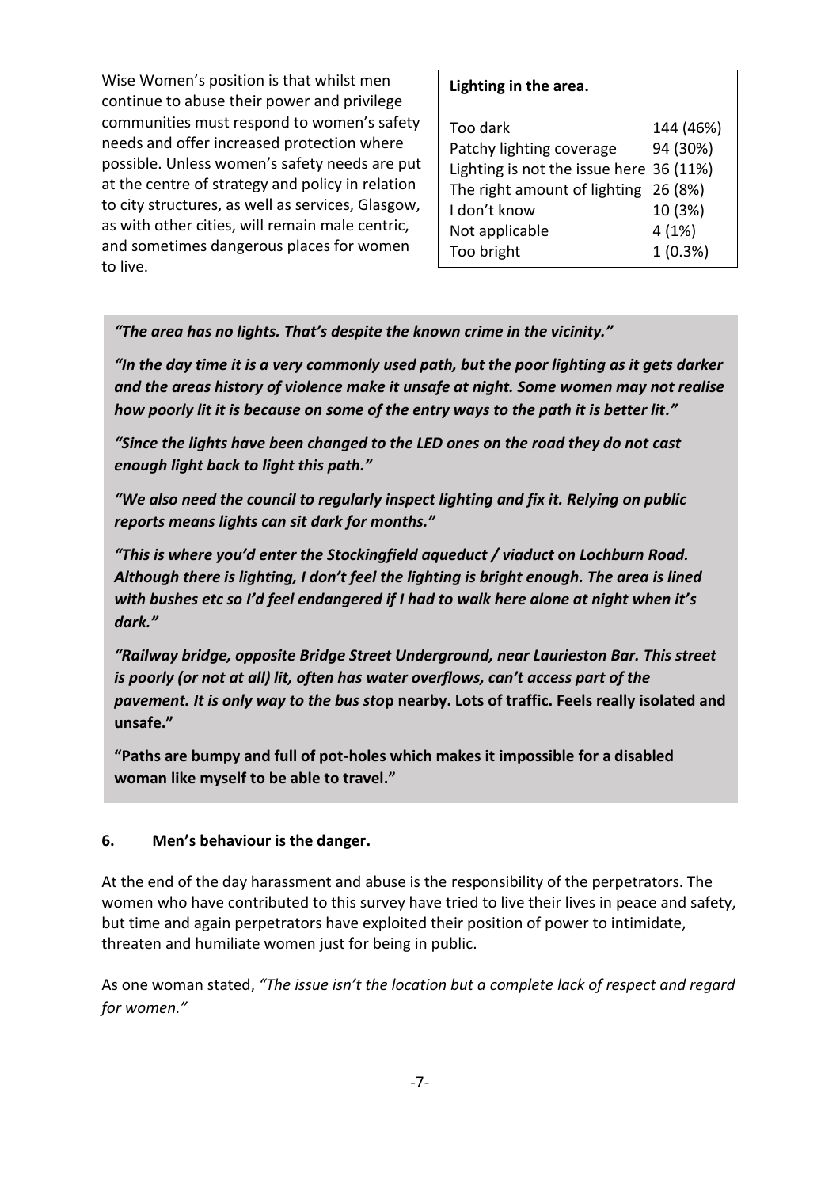Wise Women's position is that whilst men continue to abuse their power and privilege communities must respond to women's safety needs and offer increased protection where possible. Unless women's safety needs are put at the centre of strategy and policy in relation to city structures, as well as services, Glasgow, as with other cities, will remain male centric, and sometimes dangerous places for women to live.

## **Lighting in the area.**

| Too dark                                | 144 (46%)  |
|-----------------------------------------|------------|
| Patchy lighting coverage                | 94 (30%)   |
| Lighting is not the issue here 36 (11%) |            |
| The right amount of lighting 26 (8%)    |            |
| I don't know                            | 10 (3%)    |
| Not applicable                          | 4(1%)      |
| Too bright                              | $1(0.3\%)$ |

*"The area has no lights. That's despite the known crime in the vicinity."*

*"In the day time it is a very commonly used path, but the poor lighting as it gets darker and the areas history of violence make it unsafe at night. Some women may not realise how poorly lit it is because on some of the entry ways to the path it is better lit."*

*"Since the lights have been changed to the LED ones on the road they do not cast enough light back to light this path."*

*"We also need the council to regularly inspect lighting and fix it. Relying on public reports means lights can sit dark for months."*

*"This is where you'd enter the Stockingfield aqueduct / viaduct on Lochburn Road. Although there is lighting, I don't feel the lighting is bright enough. The area is lined with bushes etc so I'd feel endangered if I had to walk here alone at night when it's dark."*

*"Railway bridge, opposite Bridge Street Underground, near Laurieston Bar. This street is poorly (or not at all) lit, often has water overflows, can't access part of the pavement. It is only way to the bus sto***p nearby. Lots of traffic. Feels really isolated and unsafe."**

**"Paths are bumpy and full of pot-holes which makes it impossible for a disabled woman like myself to be able to travel."**

## **6. Men's behaviour is the danger.**

At the end of the day harassment and abuse is the responsibility of the perpetrators. The women who have contributed to this survey have tried to live their lives in peace and safety, but time and again perpetrators have exploited their position of power to intimidate, threaten and humiliate women just for being in public.

As one woman stated, *"The issue isn't the location but a complete lack of respect and regard for women."*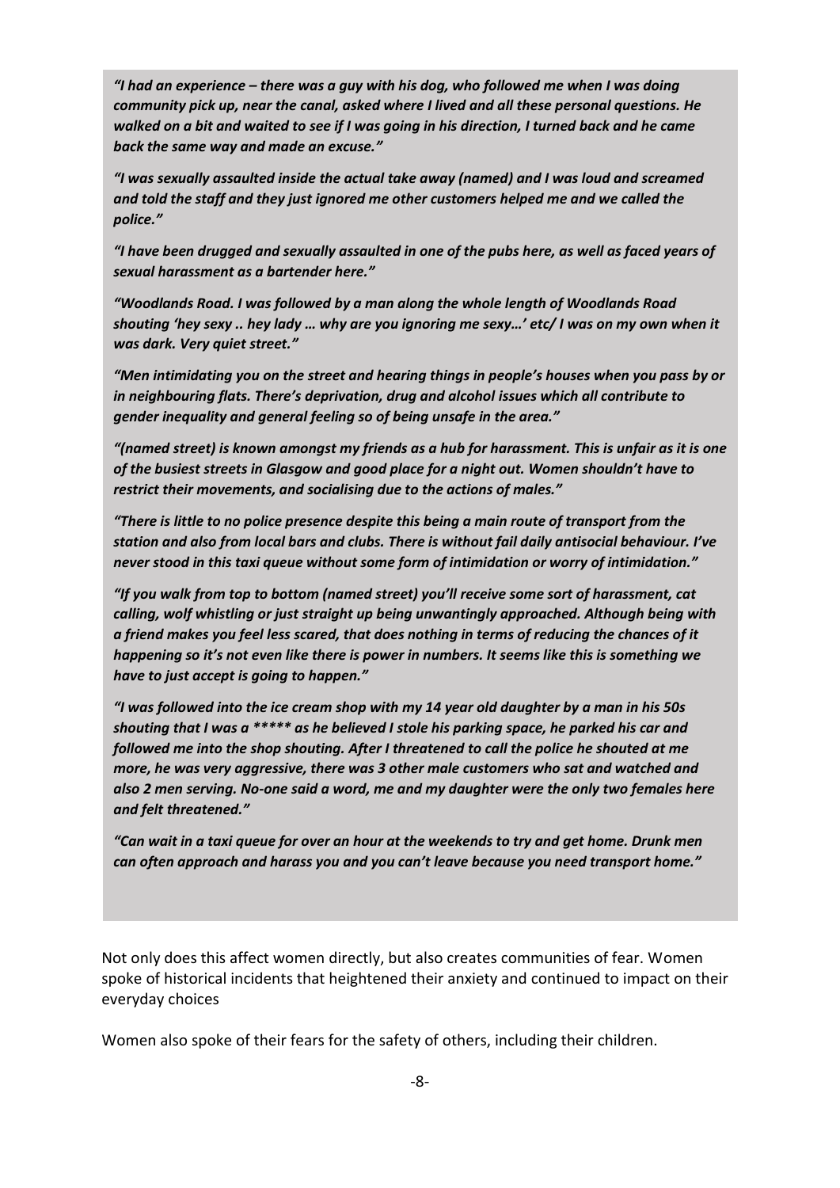*"I had an experience – there was a guy with his dog, who followed me when I was doing community pick up, near the canal, asked where I lived and all these personal questions. He walked on a bit and waited to see if I was going in his direction, I turned back and he came back the same way and made an excuse."*

*"I was sexually assaulted inside the actual take away (named) and I was loud and screamed and told the staff and they just ignored me other customers helped me and we called the police."*

*"I have been drugged and sexually assaulted in one of the pubs here, as well as faced years of sexual harassment as a bartender here."*

*"Woodlands Road. I was followed by a man along the whole length of Woodlands Road shouting 'hey sexy .. hey lady … why are you ignoring me sexy…' etc/ I was on my own when it was dark. Very quiet street."*

*"Men intimidating you on the street and hearing things in people's houses when you pass by or in neighbouring flats. There's deprivation, drug and alcohol issues which all contribute to gender inequality and general feeling so of being unsafe in the area."*

*"(named street) is known amongst my friends as a hub for harassment. This is unfair as it is one of the busiest streets in Glasgow and good place for a night out. Women shouldn't have to restrict their movements, and socialising due to the actions of males."*

*"There is little to no police presence despite this being a main route of transport from the station and also from local bars and clubs. There is without fail daily antisocial behaviour. I've never stood in this taxi queue without some form of intimidation or worry of intimidation."*

*"If you walk from top to bottom (named street) you'll receive some sort of harassment, cat calling, wolf whistling or just straight up being unwantingly approached. Although being with a friend makes you feel less scared, that does nothing in terms of reducing the chances of it happening so it's not even like there is power in numbers. It seems like this is something we have to just accept is going to happen."*

*"I was followed into the ice cream shop with my 14 year old daughter by a man in his 50s shouting that I was a \*\*\*\*\* as he believed I stole his parking space, he parked his car and followed me into the shop shouting. After I threatened to call the police he shouted at me more, he was very aggressive, there was 3 other male customers who sat and watched and also 2 men serving. No-one said a word, me and my daughter were the only two females here and felt threatened."*

*"Can wait in a taxi queue for over an hour at the weekends to try and get home. Drunk men can often approach and harass you and you can't leave because you need transport home."*

Not only does this affect women directly, but also creates communities of fear. Women spoke of historical incidents that heightened their anxiety and continued to impact on their everyday choices

Women also spoke of their fears for the safety of others, including their children.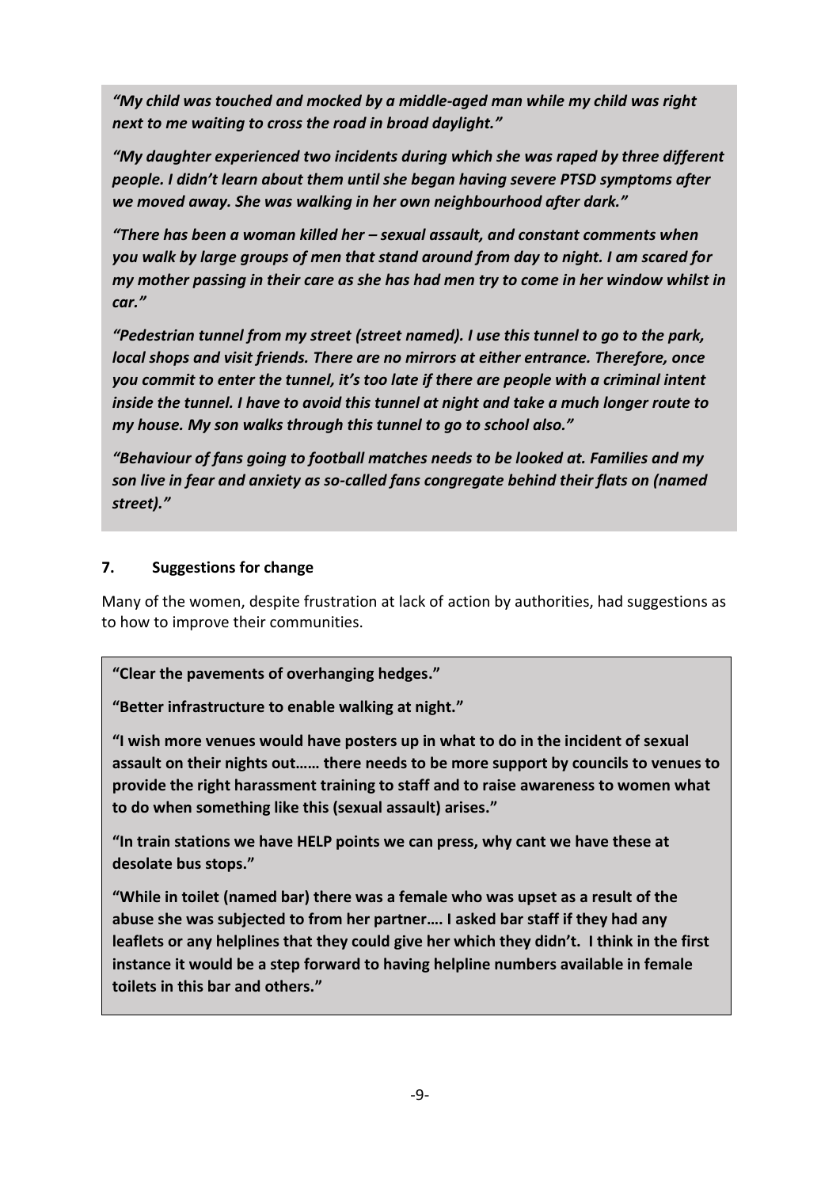*"My child was touched and mocked by a middle-aged man while my child was right next to me waiting to cross the road in broad daylight."*

*"There has been sexual assaults, rape and murder of women in this area." people. I didn't learn about them until she began having severe PTSD symptoms after "This park has been the site of a rape and murder in the time that I have lived here, and we moved away. She was walking in her own neighbourhood after dark." "My daughter experienced two incidents during which she was raped by three different* 

*there are common reports of men exposing themselves to women even in daylight." "There has been a woman killed her – sexual assault, and constant comments when you walk by large groups of men that stand around from day to night. I am scared for my mother passing in their care as she has had men try to come in her window whilst in car."*

*"Pedestrian tunnel from my street (street named). I use this tunnel to go to the park, local shops and visit friends. There are no mirrors at either entrance. Therefore, once you commit to enter the tunnel, it's too late if there are people with a criminal intent inside the tunnel. I have to avoid this tunnel at night and take a much longer route to my house. My son walks through this tunnel to go to school also."*

*"Behaviour of fans going to football matches needs to be looked at. Families and my son live in fear and anxiety as so-called fans congregate behind their flats on (named street)."*

## **7. Suggestions for change**

Many of the women, despite frustration at lack of action by authorities, had suggestions as to how to improve their communities.

## **"Clear the pavements of overhanging hedges."**

**"Better infrastructure to enable walking at night."**

**"I wish more venues would have posters up in what to do in the incident of sexual assault on their nights out…… there needs to be more support by councils to venues to provide the right harassment training to staff and to raise awareness to women what to do when something like this (sexual assault) arises."**

**"In train stations we have HELP points we can press, why cant we have these at desolate bus stops."**

**"While in toilet (named bar) there was a female who was upset as a result of the abuse she was subjected to from her partner…. I asked bar staff if they had any leaflets or any helplines that they could give her which they didn't. I think in the first instance it would be a step forward to having helpline numbers available in female toilets in this bar and others."**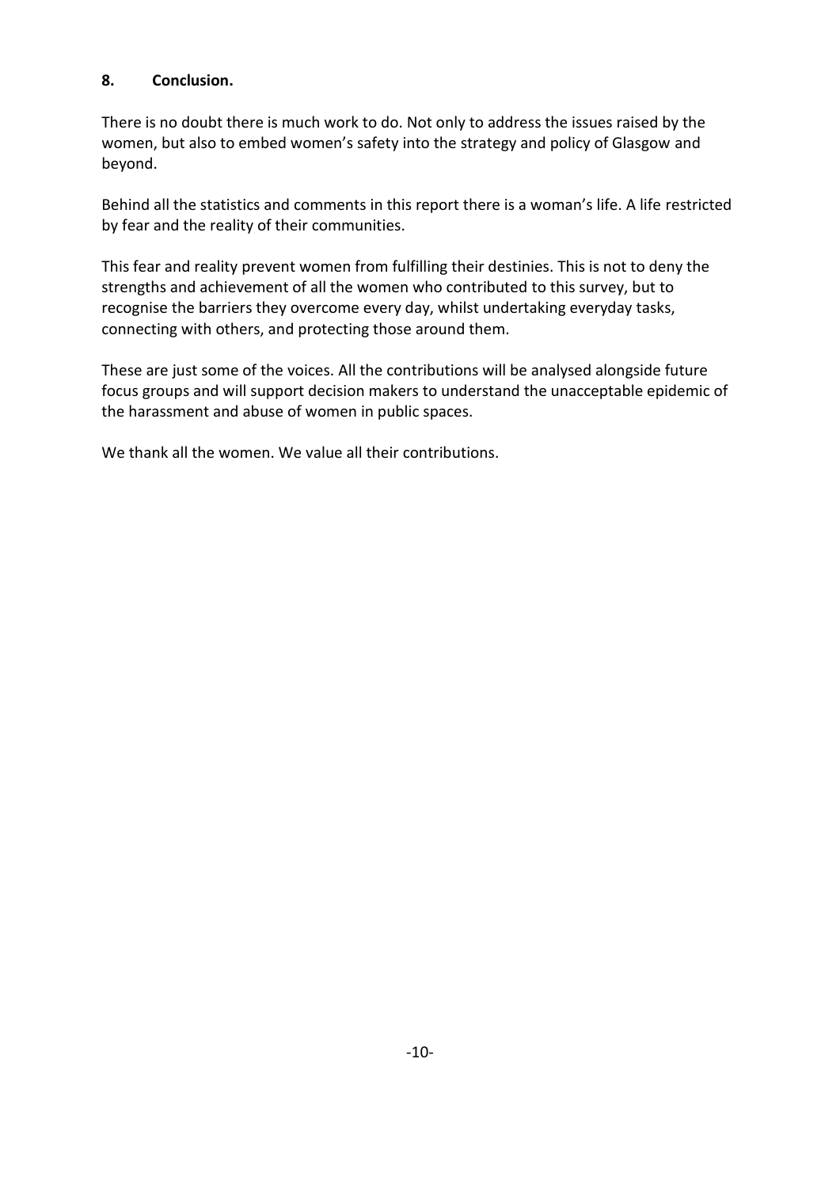## **8. Conclusion.**

There is no doubt there is much work to do. Not only to address the issues raised by the women, but also to embed women's safety into the strategy and policy of Glasgow and beyond.

Behind all the statistics and comments in this report there is a woman's life. A life restricted by fear and the reality of their communities.

This fear and reality prevent women from fulfilling their destinies. This is not to deny the strengths and achievement of all the women who contributed to this survey, but to recognise the barriers they overcome every day, whilst undertaking everyday tasks, connecting with others, and protecting those around them.

These are just some of the voices. All the contributions will be analysed alongside future focus groups and will support decision makers to understand the unacceptable epidemic of the harassment and abuse of women in public spaces.

We thank all the women. We value all their contributions.